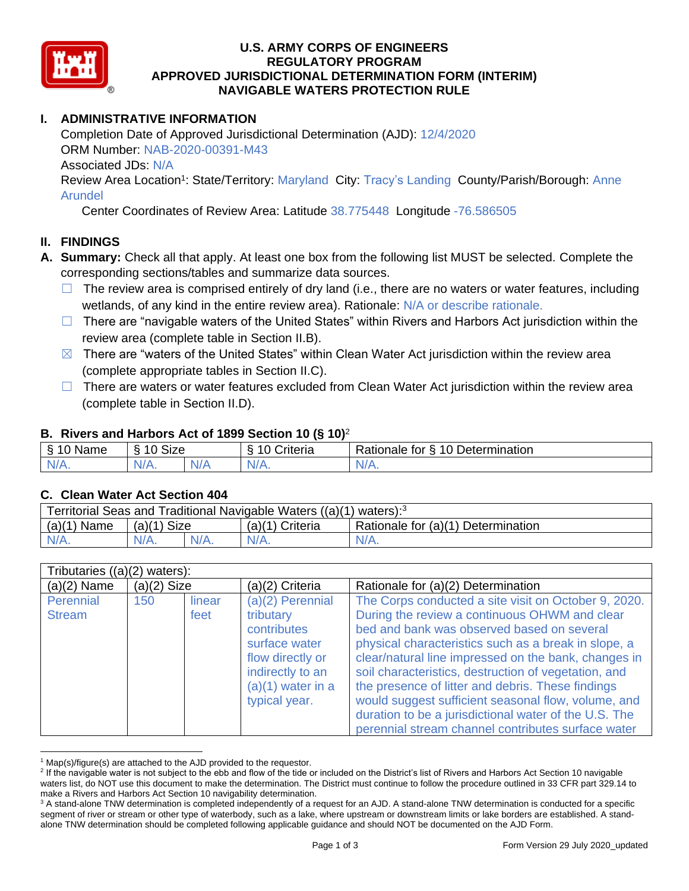

### **U.S. ARMY CORPS OF ENGINEERS REGULATORY PROGRAM APPROVED JURISDICTIONAL DETERMINATION FORM (INTERIM) NAVIGABLE WATERS PROTECTION RULE**

# **I. ADMINISTRATIVE INFORMATION**

Completion Date of Approved Jurisdictional Determination (AJD): 12/4/2020 ORM Number: NAB-2020-00391-M43 Associated JDs: N/A Review Area Location<sup>1</sup>: State/Territory: Maryland City: Tracy's Landing County/Parish/Borough: Anne

Arundel

Center Coordinates of Review Area: Latitude 38.775448 Longitude -76.586505

### **II. FINDINGS**

- **A. Summary:** Check all that apply. At least one box from the following list MUST be selected. Complete the corresponding sections/tables and summarize data sources.
	- $\Box$  The review area is comprised entirely of dry land (i.e., there are no waters or water features, including wetlands, of any kind in the entire review area). Rationale: N/A or describe rationale.
	- □ There are "navigable waters of the United States" within Rivers and Harbors Act jurisdiction within the review area (complete table in Section II.B).
	- $\boxtimes$  There are "waters of the United States" within Clean Water Act jurisdiction within the review area (complete appropriate tables in Section II.C).
	- $\Box$  There are waters or water features excluded from Clean Water Act jurisdiction within the review area (complete table in Section II.D).

### **B. Rivers and Harbors Act of 1899 Section 10 (§ 10)**<sup>2</sup>

| Name                | $\sim$<br>$\Lambda$ $\Lambda$<br>SIZE<br>$\tilde{\phantom{a}}$ |        | triteria | 10 Determination<br>Rationale<br>tor<br>∼ |
|---------------------|----------------------------------------------------------------|--------|----------|-------------------------------------------|
| N <sub>L</sub><br>. | $N/A$ .                                                        | M<br>. | N/f      | Nz<br><b>MII.</b>                         |

#### **C. Clean Water Act Section 404**

| Territorial Seas and Traditional Navigable Waters ((a)(1) waters): <sup>3</sup> |               |  |                   |                                    |  |  |
|---------------------------------------------------------------------------------|---------------|--|-------------------|------------------------------------|--|--|
| $(a)(1)$ Name                                                                   | $(a)(1)$ Size |  | $(a)(1)$ Criteria | Rationale for (a)(1) Determination |  |  |
| $N/A$ .                                                                         | $N/A$ .       |  | $N/A$ .           | $N/A$ .                            |  |  |

| Tributaries $((a)(2)$ waters): |               |                |                                                                                                                                                 |                                                                                                                                                                                                                                                                                                                                                                                                                                                                                                  |  |
|--------------------------------|---------------|----------------|-------------------------------------------------------------------------------------------------------------------------------------------------|--------------------------------------------------------------------------------------------------------------------------------------------------------------------------------------------------------------------------------------------------------------------------------------------------------------------------------------------------------------------------------------------------------------------------------------------------------------------------------------------------|--|
| $(a)(2)$ Name                  | $(a)(2)$ Size |                | (a)(2) Criteria                                                                                                                                 | Rationale for (a)(2) Determination                                                                                                                                                                                                                                                                                                                                                                                                                                                               |  |
| Perennial<br><b>Stream</b>     | 150           | linear<br>feet | $(a)(2)$ Perennial<br>tributary<br>contributes<br>surface water<br>flow directly or<br>indirectly to an<br>$(a)(1)$ water in a<br>typical year. | The Corps conducted a site visit on October 9, 2020.<br>During the review a continuous OHWM and clear<br>bed and bank was observed based on several<br>physical characteristics such as a break in slope, a<br>clear/natural line impressed on the bank, changes in<br>soil characteristics, destruction of vegetation, and<br>the presence of litter and debris. These findings<br>would suggest sufficient seasonal flow, volume, and<br>duration to be a jurisdictional water of the U.S. The |  |
|                                |               |                |                                                                                                                                                 | perennial stream channel contributes surface water                                                                                                                                                                                                                                                                                                                                                                                                                                               |  |

 $1$  Map(s)/figure(s) are attached to the AJD provided to the requestor.

<sup>&</sup>lt;sup>2</sup> If the navigable water is not subject to the ebb and flow of the tide or included on the District's list of Rivers and Harbors Act Section 10 navigable waters list, do NOT use this document to make the determination. The District must continue to follow the procedure outlined in 33 CFR part 329.14 to make a Rivers and Harbors Act Section 10 navigability determination.

<sup>&</sup>lt;sup>3</sup> A stand-alone TNW determination is completed independently of a request for an AJD. A stand-alone TNW determination is conducted for a specific segment of river or stream or other type of waterbody, such as a lake, where upstream or downstream limits or lake borders are established. A standalone TNW determination should be completed following applicable guidance and should NOT be documented on the AJD Form.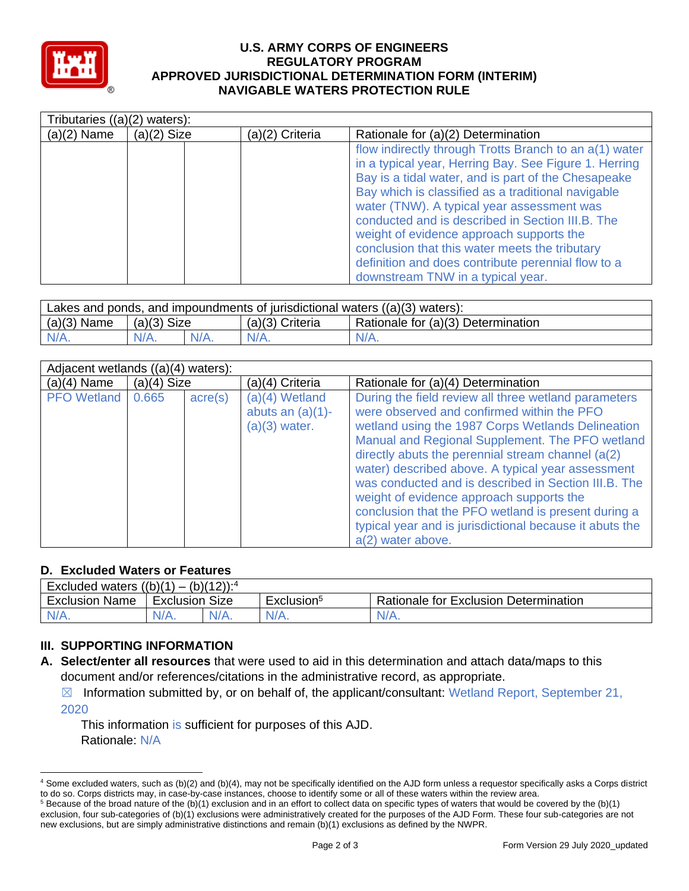

#### **U.S. ARMY CORPS OF ENGINEERS REGULATORY PROGRAM APPROVED JURISDICTIONAL DETERMINATION FORM (INTERIM) NAVIGABLE WATERS PROTECTION RULE**

|               | Tributaries $((a)(2)$ waters): |                 |                                                                                                                                                                                                                                                                                                                                                                                                                                                                                                                         |  |  |  |
|---------------|--------------------------------|-----------------|-------------------------------------------------------------------------------------------------------------------------------------------------------------------------------------------------------------------------------------------------------------------------------------------------------------------------------------------------------------------------------------------------------------------------------------------------------------------------------------------------------------------------|--|--|--|
| $(a)(2)$ Name | $(a)(2)$ Size                  | (a)(2) Criteria | Rationale for (a)(2) Determination                                                                                                                                                                                                                                                                                                                                                                                                                                                                                      |  |  |  |
|               |                                |                 | flow indirectly through Trotts Branch to an a(1) water<br>in a typical year, Herring Bay. See Figure 1. Herring<br>Bay is a tidal water, and is part of the Chesapeake<br>Bay which is classified as a traditional navigable<br>water (TNW). A typical year assessment was<br>conducted and is described in Section III.B. The<br>weight of evidence approach supports the<br>conclusion that this water meets the tributary<br>definition and does contribute perennial flow to a<br>downstream TNW in a typical year. |  |  |  |

| Lakes and ponds, and impoundments of jurisdictional waters $((a)(3)$ waters): |               |         |                   |                                    |  |  |
|-------------------------------------------------------------------------------|---------------|---------|-------------------|------------------------------------|--|--|
| $(a)(3)$ Name                                                                 | $(a)(3)$ Size |         | $(a)(3)$ Criteria | Rationale for (a)(3) Determination |  |  |
| $N/A$ .                                                                       |               | $N/A$ . | $N/A$ .           | $N/A$ .                            |  |  |

| Adjacent wetlands $((a)(4)$ waters): |               |                  |                                                          |                                                                                                                                                                                                                                                                                                                                                                                                                                                                                                                                                                    |  |  |
|--------------------------------------|---------------|------------------|----------------------------------------------------------|--------------------------------------------------------------------------------------------------------------------------------------------------------------------------------------------------------------------------------------------------------------------------------------------------------------------------------------------------------------------------------------------------------------------------------------------------------------------------------------------------------------------------------------------------------------------|--|--|
| $(a)(4)$ Name                        | $(a)(4)$ Size |                  | (a)(4) Criteria                                          | Rationale for (a)(4) Determination                                                                                                                                                                                                                                                                                                                                                                                                                                                                                                                                 |  |  |
| <b>PFO</b> Wetland                   | 0.665         | $\text{acre}(s)$ | (a)(4) Wetland<br>abuts an $(a)(1)$ -<br>$(a)(3)$ water. | During the field review all three wetland parameters<br>were observed and confirmed within the PFO<br>wetland using the 1987 Corps Wetlands Delineation<br>Manual and Regional Supplement. The PFO wetland<br>directly abuts the perennial stream channel $(a(2))$<br>water) described above. A typical year assessment<br>was conducted and is described in Section III.B. The<br>weight of evidence approach supports the<br>conclusion that the PFO wetland is present during a<br>typical year and is jurisdictional because it abuts the<br>a(2) water above. |  |  |

### **D. Excluded Waters or Features**

| $(b)(12))$ : <sup>4</sup><br>Excluded waters $((b)(1))$<br>$\mathbf{r}$ |                   |         |                        |                                              |  |  |
|-------------------------------------------------------------------------|-------------------|---------|------------------------|----------------------------------------------|--|--|
| <b>Exclusion Name</b>                                                   | Size<br>Exclusion |         | Exclusion <sup>5</sup> | <b>Rationale for Exclusion Determination</b> |  |  |
|                                                                         | $N/A$ .           | $V/A$ . | $N/A$ .                | $N/A$ .                                      |  |  |

## **III. SUPPORTING INFORMATION**

- **A. Select/enter all resources** that were used to aid in this determination and attach data/maps to this document and/or references/citations in the administrative record, as appropriate.
	- $\boxtimes$  Information submitted by, or on behalf of, the applicant/consultant: Wetland Report, September 21, 2020

This information is sufficient for purposes of this AJD. Rationale: N/A

<sup>4</sup> Some excluded waters, such as (b)(2) and (b)(4), may not be specifically identified on the AJD form unless a requestor specifically asks a Corps district to do so. Corps districts may, in case-by-case instances, choose to identify some or all of these waters within the review area.

 $5$  Because of the broad nature of the (b)(1) exclusion and in an effort to collect data on specific types of waters that would be covered by the (b)(1) exclusion, four sub-categories of (b)(1) exclusions were administratively created for the purposes of the AJD Form. These four sub-categories are not new exclusions, but are simply administrative distinctions and remain (b)(1) exclusions as defined by the NWPR.